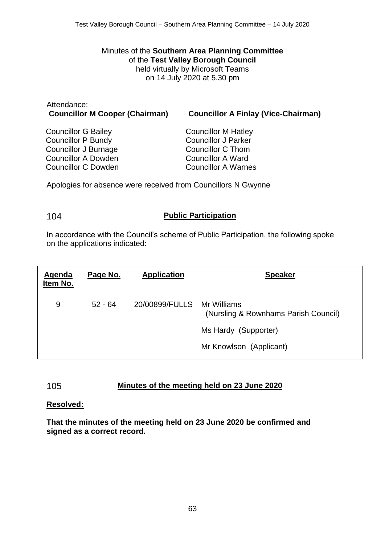Minutes of the **Southern Area Planning Committee** of the **Test Valley Borough Council** held virtually by Microsoft Teams on 14 July 2020 at 5.30 pm

# Attendance:

**Councillor M Cooper (Chairman) Councillor A Finlay (Vice-Chairman)**

Councillor G Bailey Councillor P Bundy Councillor J Burnage Councillor A Dowden Councillor C Dowden

Councillor M Hatley Councillor J Parker Councillor C Thom Councillor A Ward Councillor A Warnes

Apologies for absence were received from Councillors N Gwynne

## 104 **Public Participation**

In accordance with the Council's scheme of Public Participation, the following spoke on the applications indicated:

| <b>Agenda</b><br>Item No. | Page No.  | <b>Application</b> | <b>Speaker</b>                                                                                         |
|---------------------------|-----------|--------------------|--------------------------------------------------------------------------------------------------------|
| 9                         | $52 - 64$ | 20/00899/FULLS     | Mr Williams<br>(Nursling & Rownhams Parish Council)<br>Ms Hardy (Supporter)<br>Mr Knowlson (Applicant) |

# 105 **Minutes of the meeting held on 23 June 2020**

# **Resolved:**

**That the minutes of the meeting held on 23 June 2020 be confirmed and signed as a correct record.**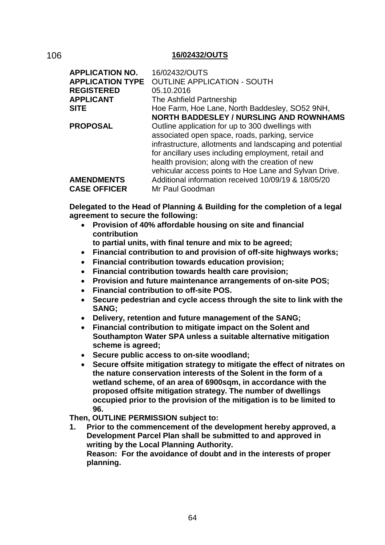#### 106 **16/02432/OUTS**

| <b>APPLICATION NO.</b>  | 16/02432/OUTS                                            |
|-------------------------|----------------------------------------------------------|
| <b>APPLICATION TYPE</b> | <b>OUTLINE APPLICATION - SOUTH</b>                       |
| <b>REGISTERED</b>       | 05.10.2016                                               |
| <b>APPLICANT</b>        | The Ashfield Partnership                                 |
| <b>SITE</b>             | Hoe Farm, Hoe Lane, North Baddesley, SO52 9NH,           |
|                         | <b>NORTH BADDESLEY / NURSLING AND ROWNHAMS</b>           |
| <b>PROPOSAL</b>         | Outline application for up to 300 dwellings with         |
|                         | associated open space, roads, parking, service           |
|                         | infrastructure, allotments and landscaping and potential |
|                         | for ancillary uses including employment, retail and      |
|                         | health provision; along with the creation of new         |
|                         | vehicular access points to Hoe Lane and Sylvan Drive.    |
| <b>AMENDMENTS</b>       | Additional information received 10/09/19 & 18/05/20      |
| <b>CASE OFFICER</b>     | Mr Paul Goodman                                          |

**Delegated to the Head of Planning & Building for the completion of a legal agreement to secure the following:**

 **Provision of 40% affordable housing on site and financial contribution**

**to partial units, with final tenure and mix to be agreed;**

- **Financial contribution to and provision of off-site highways works;**
- **Financial contribution towards education provision;**
- **Financial contribution towards health care provision;**
- **Provision and future maintenance arrangements of on-site POS;**
- **Financial contribution to off-site POS.**
- **Secure pedestrian and cycle access through the site to link with the SANG;**
- **Delivery, retention and future management of the SANG;**
- **Financial contribution to mitigate impact on the Solent and Southampton Water SPA unless a suitable alternative mitigation scheme is agreed;**
- **Secure public access to on-site woodland;**
- **Secure offsite mitigation strategy to mitigate the effect of nitrates on the nature conservation interests of the Solent in the form of a wetland scheme, of an area of 6900sqm, in accordance with the proposed offsite mitigation strategy. The number of dwellings occupied prior to the provision of the mitigation is to be limited to 96.**

**Then, OUTLINE PERMISSION subject to:**

**1. Prior to the commencement of the development hereby approved, a Development Parcel Plan shall be submitted to and approved in writing by the Local Planning Authority. Reason: For the avoidance of doubt and in the interests of proper planning.**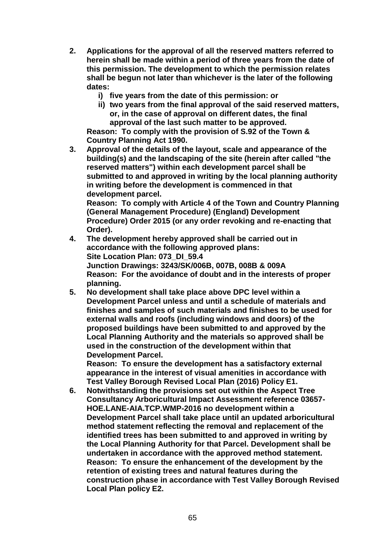- **2. Applications for the approval of all the reserved matters referred to herein shall be made within a period of three years from the date of this permission. The development to which the permission relates shall be begun not later than whichever is the later of the following dates:**
	- **i) five years from the date of this permission: or**
	- **ii) two years from the final approval of the said reserved matters, or, in the case of approval on different dates, the final approval of the last such matter to be approved.**

**Reason: To comply with the provision of S.92 of the Town & Country Planning Act 1990.**

**3. Approval of the details of the layout, scale and appearance of the building(s) and the landscaping of the site (herein after called "the reserved matters") within each development parcel shall be submitted to and approved in writing by the local planning authority in writing before the development is commenced in that development parcel.**

**Reason: To comply with Article 4 of the Town and Country Planning (General Management Procedure) (England) Development Procedure) Order 2015 (or any order revoking and re-enacting that Order).**

- **4. The development hereby approved shall be carried out in accordance with the following approved plans: Site Location Plan: 073\_DI\_59.4 Junction Drawings: 3243/SK/006B, 007B, 008B & 009A Reason: For the avoidance of doubt and in the interests of proper planning.**
- **5. No development shall take place above DPC level within a Development Parcel unless and until a schedule of materials and finishes and samples of such materials and finishes to be used for external walls and roofs (including windows and doors) of the proposed buildings have been submitted to and approved by the Local Planning Authority and the materials so approved shall be used in the construction of the development within that Development Parcel.**

**Reason: To ensure the development has a satisfactory external appearance in the interest of visual amenities in accordance with Test Valley Borough Revised Local Plan (2016) Policy E1.**

**6. Notwithstanding the provisions set out within the Aspect Tree Consultancy Arboricultural Impact Assessment reference 03657- HOE.LANE-AIA.TCP.WMP-2016 no development within a Development Parcel shall take place until an updated arboricultural method statement reflecting the removal and replacement of the identified trees has been submitted to and approved in writing by the Local Planning Authority for that Parcel. Development shall be undertaken in accordance with the approved method statement. Reason: To ensure the enhancement of the development by the retention of existing trees and natural features during the construction phase in accordance with Test Valley Borough Revised Local Plan policy E2.**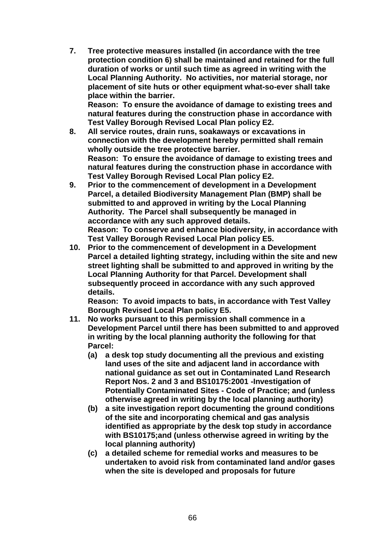**7. Tree protective measures installed (in accordance with the tree protection condition 6) shall be maintained and retained for the full duration of works or until such time as agreed in writing with the Local Planning Authority. No activities, nor material storage, nor placement of site huts or other equipment what-so-ever shall take place within the barrier.** 

**Reason: To ensure the avoidance of damage to existing trees and natural features during the construction phase in accordance with Test Valley Borough Revised Local Plan policy E2.**

- **8. All service routes, drain runs, soakaways or excavations in connection with the development hereby permitted shall remain wholly outside the tree protective barrier. Reason: To ensure the avoidance of damage to existing trees and natural features during the construction phase in accordance with Test Valley Borough Revised Local Plan policy E2.**
- **9. Prior to the commencement of development in a Development Parcel, a detailed Biodiversity Management Plan (BMP) shall be submitted to and approved in writing by the Local Planning Authority. The Parcel shall subsequently be managed in accordance with any such approved details. Reason: To conserve and enhance biodiversity, in accordance with Test Valley Borough Revised Local Plan policy E5.**
- **10. Prior to the commencement of development in a Development Parcel a detailed lighting strategy, including within the site and new street lighting shall be submitted to and approved in writing by the Local Planning Authority for that Parcel. Development shall subsequently proceed in accordance with any such approved details.**

**Reason: To avoid impacts to bats, in accordance with Test Valley Borough Revised Local Plan policy E5.** 

- **11. No works pursuant to this permission shall commence in a Development Parcel until there has been submitted to and approved in writing by the local planning authority the following for that Parcel:**
	- **(a) a desk top study documenting all the previous and existing land uses of the site and adjacent land in accordance with national guidance as set out in Contaminated Land Research Report Nos. 2 and 3 and BS10175:2001 -Investigation of Potentially Contaminated Sites - Code of Practice; and (unless otherwise agreed in writing by the local planning authority)**
	- **(b) a site investigation report documenting the ground conditions of the site and incorporating chemical and gas analysis identified as appropriate by the desk top study in accordance with BS10175;and (unless otherwise agreed in writing by the local planning authority)**
	- **(c) a detailed scheme for remedial works and measures to be undertaken to avoid risk from contaminated land and/or gases when the site is developed and proposals for future**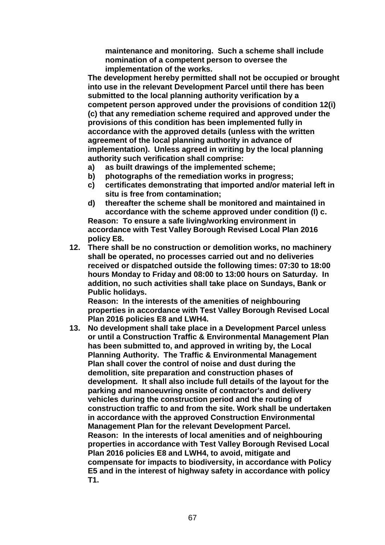**maintenance and monitoring. Such a scheme shall include nomination of a competent person to oversee the implementation of the works.**

**The development hereby permitted shall not be occupied or brought into use in the relevant Development Parcel until there has been submitted to the local planning authority verification by a competent person approved under the provisions of condition 12(i) (c) that any remediation scheme required and approved under the provisions of this condition has been implemented fully in accordance with the approved details (unless with the written agreement of the local planning authority in advance of implementation). Unless agreed in writing by the local planning authority such verification shall comprise:**

- **a) as built drawings of the implemented scheme;**
- **b) photographs of the remediation works in progress;**
- **c) certificates demonstrating that imported and/or material left in situ is free from contamination;**
- **d) thereafter the scheme shall be monitored and maintained in accordance with the scheme approved under condition (I) c. Reason: To ensure a safe living/working environment in accordance with Test Valley Borough Revised Local Plan 2016 policy E8.**
- **12. There shall be no construction or demolition works, no machinery shall be operated, no processes carried out and no deliveries received or dispatched outside the following times: 07:30 to 18:00 hours Monday to Friday and 08:00 to 13:00 hours on Saturday. In addition, no such activities shall take place on Sundays, Bank or Public holidays.**

**Reason: In the interests of the amenities of neighbouring properties in accordance with Test Valley Borough Revised Local Plan 2016 policies E8 and LWH4.**

**13. No development shall take place in a Development Parcel unless or until a Construction Traffic & Environmental Management Plan has been submitted to, and approved in writing by, the Local Planning Authority. The Traffic & Environmental Management Plan shall cover the control of noise and dust during the demolition, site preparation and construction phases of development. It shall also include full details of the layout for the parking and manoeuvring onsite of contractor's and delivery vehicles during the construction period and the routing of construction traffic to and from the site. Work shall be undertaken in accordance with the approved Construction Environmental Management Plan for the relevant Development Parcel. Reason: In the interests of local amenities and of neighbouring properties in accordance with Test Valley Borough Revised Local Plan 2016 policies E8 and LWH4, to avoid, mitigate and compensate for impacts to biodiversity, in accordance with Policy E5 and in the interest of highway safety in accordance with policy T1.**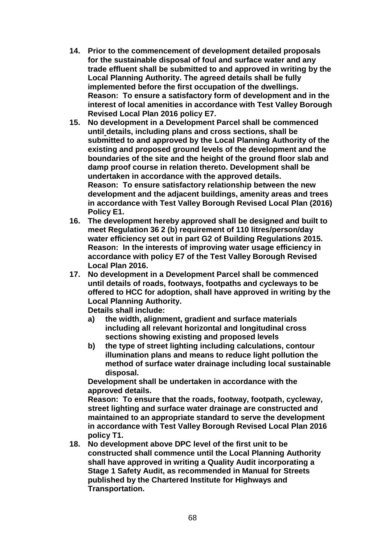- **14. Prior to the commencement of development detailed proposals for the sustainable disposal of foul and surface water and any trade effluent shall be submitted to and approved in writing by the Local Planning Authority. The agreed details shall be fully implemented before the first occupation of the dwellings. Reason: To ensure a satisfactory form of development and in the interest of local amenities in accordance with Test Valley Borough Revised Local Plan 2016 policy E7.**
- **15. No development in a Development Parcel shall be commenced until details, including plans and cross sections, shall be submitted to and approved by the Local Planning Authority of the existing and proposed ground levels of the development and the boundaries of the site and the height of the ground floor slab and damp proof course in relation thereto. Development shall be undertaken in accordance with the approved details. Reason: To ensure satisfactory relationship between the new development and the adjacent buildings, amenity areas and trees in accordance with Test Valley Borough Revised Local Plan (2016) Policy E1.**
- **16. The development hereby approved shall be designed and built to meet Regulation 36 2 (b) requirement of 110 litres/person/day water efficiency set out in part G2 of Building Regulations 2015. Reason: In the interests of improving water usage efficiency in accordance with policy E7 of the Test Valley Borough Revised Local Plan 2016.**
- **17. No development in a Development Parcel shall be commenced until details of roads, footways, footpaths and cycleways to be offered to HCC for adoption, shall have approved in writing by the Local Planning Authority.**

**Details shall include:** 

- **a) the width, alignment, gradient and surface materials including all relevant horizontal and longitudinal cross sections showing existing and proposed levels**
- **b) the type of street lighting including calculations, contour illumination plans and means to reduce light pollution the method of surface water drainage including local sustainable disposal.**

**Development shall be undertaken in accordance with the approved details.**

**Reason: To ensure that the roads, footway, footpath, cycleway, street lighting and surface water drainage are constructed and maintained to an appropriate standard to serve the development in accordance with Test Valley Borough Revised Local Plan 2016 policy T1.**

**18. No development above DPC level of the first unit to be constructed shall commence until the Local Planning Authority shall have approved in writing a Quality Audit incorporating a Stage 1 Safety Audit, as recommended in Manual for Streets published by the Chartered Institute for Highways and Transportation.**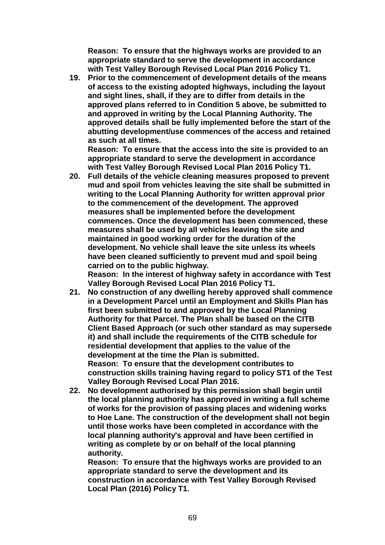**Reason: To ensure that the highways works are provided to an appropriate standard to serve the development in accordance with Test Valley Borough Revised Local Plan 2016 Policy T1.**

**19. Prior to the commencement of development details of the means of access to the existing adopted highways, including the layout and sight lines, shall, if they are to differ from details in the approved plans referred to in Condition 5 above, be submitted to and approved in writing by the Local Planning Authority. The approved details shall be fully implemented before the start of the abutting development/use commences of the access and retained as such at all times.**

**Reason: To ensure that the access into the site is provided to an appropriate standard to serve the development in accordance with Test Valley Borough Revised Local Plan 2016 Policy T1.**

**20. Full details of the vehicle cleaning measures proposed to prevent mud and spoil from vehicles leaving the site shall be submitted in writing to the Local Planning Authority for written approval prior to the commencement of the development. The approved measures shall be implemented before the development commences. Once the development has been commenced, these measures shall be used by all vehicles leaving the site and maintained in good working order for the duration of the development. No vehicle shall leave the site unless its wheels have been cleaned sufficiently to prevent mud and spoil being carried on to the public highway. Reason: In the interest of highway safety in accordance with Test** 

**Valley Borough Revised Local Plan 2016 Policy T1.**

- **21. No construction of any dwelling hereby approved shall commence in a Development Parcel until an Employment and Skills Plan has first been submitted to and approved by the Local Planning Authority for that Parcel. The Plan shall be based on the CITB Client Based Approach (or such other standard as may supersede it) and shall include the requirements of the CITB schedule for residential development that applies to the value of the development at the time the Plan is submitted. Reason: To ensure that the development contributes to construction skills training having regard to policy ST1 of the Test Valley Borough Revised Local Plan 2016.**
- **22. No development authorised by this permission shall begin until the local planning authority has approved in writing a full scheme of works for the provision of passing places and widening works to Hoe Lane. The construction of the development shall not begin until those works have been completed in accordance with the local planning authority's approval and have been certified in writing as complete by or on behalf of the local planning authority.**

**Reason: To ensure that the highways works are provided to an appropriate standard to serve the development and its construction in accordance with Test Valley Borough Revised Local Plan (2016) Policy T1.**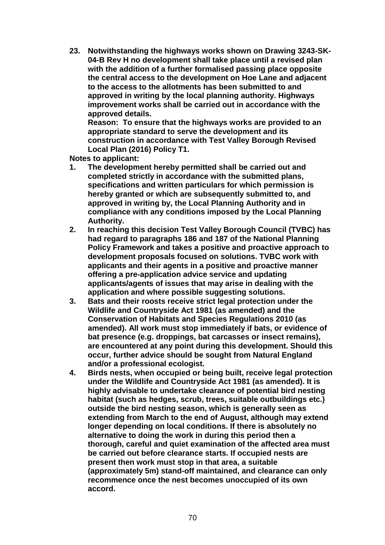**23. Notwithstanding the highways works shown on Drawing 3243-SK-04-B Rev H no development shall take place until a revised plan with the addition of a further formalised passing place opposite the central access to the development on Hoe Lane and adjacent to the access to the allotments has been submitted to and approved in writing by the local planning authority. Highways improvement works shall be carried out in accordance with the approved details.** 

**Reason: To ensure that the highways works are provided to an appropriate standard to serve the development and its construction in accordance with Test Valley Borough Revised Local Plan (2016) Policy T1.** 

**Notes to applicant:**

- **1. The development hereby permitted shall be carried out and completed strictly in accordance with the submitted plans, specifications and written particulars for which permission is hereby granted or which are subsequently submitted to, and approved in writing by, the Local Planning Authority and in compliance with any conditions imposed by the Local Planning Authority.**
- **2. In reaching this decision Test Valley Borough Council (TVBC) has had regard to paragraphs 186 and 187 of the National Planning Policy Framework and takes a positive and proactive approach to development proposals focused on solutions. TVBC work with applicants and their agents in a positive and proactive manner offering a pre-application advice service and updating applicants/agents of issues that may arise in dealing with the application and where possible suggesting solutions.**
- **3. Bats and their roosts receive strict legal protection under the Wildlife and Countryside Act 1981 (as amended) and the Conservation of Habitats and Species Regulations 2010 (as amended). All work must stop immediately if bats, or evidence of bat presence (e.g. droppings, bat carcasses or insect remains), are encountered at any point during this development. Should this occur, further advice should be sought from Natural England and/or a professional ecologist.**
- **4. Birds nests, when occupied or being built, receive legal protection under the Wildlife and Countryside Act 1981 (as amended). It is highly advisable to undertake clearance of potential bird nesting habitat (such as hedges, scrub, trees, suitable outbuildings etc.) outside the bird nesting season, which is generally seen as extending from March to the end of August, although may extend longer depending on local conditions. If there is absolutely no alternative to doing the work in during this period then a thorough, careful and quiet examination of the affected area must be carried out before clearance starts. If occupied nests are present then work must stop in that area, a suitable (approximately 5m) stand-off maintained, and clearance can only recommence once the nest becomes unoccupied of its own accord.**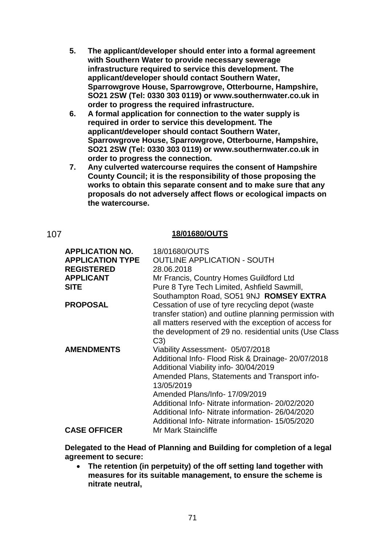- **5. The applicant/developer should enter into a formal agreement with Southern Water to provide necessary sewerage infrastructure required to service this development. The applicant/developer should contact Southern Water, Sparrowgrove House, Sparrowgrove, Otterbourne, Hampshire, SO21 2SW (Tel: 0330 303 0119) or www.southernwater.co.uk in order to progress the required infrastructure.**
- **6. A formal application for connection to the water supply is required in order to service this development. The applicant/developer should contact Southern Water, Sparrowgrove House, Sparrowgrove, Otterbourne, Hampshire, SO21 2SW (Tel: 0330 303 0119) or www.southernwater.co.uk in order to progress the connection.**
- **7. Any culverted watercourse requires the consent of Hampshire County Council; it is the responsibility of those proposing the works to obtain this separate consent and to make sure that any proposals do not adversely affect flows or ecological impacts on the watercourse.**

### 107 **18/01680/OUTS**

| <b>APPLICATION NO.</b><br><b>APPLICATION TYPE</b><br><b>REGISTERED</b><br><b>APPLICANT</b><br><b>SITE</b> | 18/01680/OUTS<br><b>OUTLINE APPLICATION - SOUTH</b><br>28.06.2018<br>Mr Francis, Country Homes Guildford Ltd<br>Pure 8 Tyre Tech Limited, Ashfield Sawmill,<br>Southampton Road, SO51 9NJ ROMSEY EXTRA                                                                                                                                                                                   |
|-----------------------------------------------------------------------------------------------------------|------------------------------------------------------------------------------------------------------------------------------------------------------------------------------------------------------------------------------------------------------------------------------------------------------------------------------------------------------------------------------------------|
| <b>PROPOSAL</b>                                                                                           | Cessation of use of tyre recycling depot (waste<br>transfer station) and outline planning permission with<br>all matters reserved with the exception of access for<br>the development of 29 no. residential units (Use Class<br>C3)                                                                                                                                                      |
| <b>AMENDMENTS</b>                                                                                         | Viability Assessment- 05/07/2018<br>Additional Info- Flood Risk & Drainage- 20/07/2018<br>Additional Viability info-30/04/2019<br>Amended Plans, Statements and Transport info-<br>13/05/2019<br>Amended Plans/Info-17/09/2019<br>Additional Info- Nitrate information- 20/02/2020<br>Additional Info- Nitrate information-26/04/2020<br>Additional Info- Nitrate information-15/05/2020 |
| <b>CASE OFFICER</b>                                                                                       | Mr Mark Staincliffe                                                                                                                                                                                                                                                                                                                                                                      |

**Delegated to the Head of Planning and Building for completion of a legal agreement to secure:**

 **The retention (in perpetuity) of the off setting land together with measures for its suitable management, to ensure the scheme is nitrate neutral,**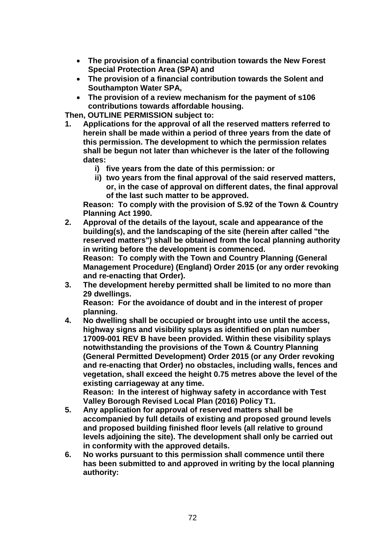- **The provision of a financial contribution towards the New Forest Special Protection Area (SPA) and**
- **The provision of a financial contribution towards the Solent and Southampton Water SPA,**
- **The provision of a review mechanism for the payment of s106 contributions towards affordable housing.**

**Then, OUTLINE PERMISSION subject to:**

- **1. Applications for the approval of all the reserved matters referred to herein shall be made within a period of three years from the date of this permission. The development to which the permission relates shall be begun not later than whichever is the later of the following dates:**
	- **i) five years from the date of this permission: or**
	- **ii) two years from the final approval of the said reserved matters, or, in the case of approval on different dates, the final approval of the last such matter to be approved.**

**Reason: To comply with the provision of S.92 of the Town & Country Planning Act 1990.**

- **2. Approval of the details of the layout, scale and appearance of the building(s), and the landscaping of the site (herein after called "the reserved matters") shall be obtained from the local planning authority in writing before the development is commenced. Reason: To comply with the Town and Country Planning (General Management Procedure) (England) Order 2015 (or any order revoking and re-enacting that Order).**
- **3. The development hereby permitted shall be limited to no more than 29 dwellings.**

**Reason: For the avoidance of doubt and in the interest of proper planning.**

- **4. No dwelling shall be occupied or brought into use until the access, highway signs and visibility splays as identified on plan number 17009-001 REV B have been provided. Within these visibility splays notwithstanding the provisions of the Town & Country Planning (General Permitted Development) Order 2015 (or any Order revoking and re-enacting that Order) no obstacles, including walls, fences and vegetation, shall exceed the height 0.75 metres above the level of the existing carriageway at any time. Reason: In the interest of highway safety in accordance with Test Valley Borough Revised Local Plan (2016) Policy T1.**
- **5. Any application for approval of reserved matters shall be accompanied by full details of existing and proposed ground levels and proposed building finished floor levels (all relative to ground levels adjoining the site). The development shall only be carried out in conformity with the approved details.**
- **6. No works pursuant to this permission shall commence until there has been submitted to and approved in writing by the local planning authority:**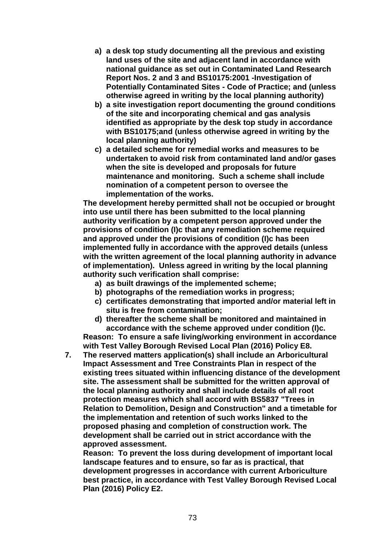- **a) a desk top study documenting all the previous and existing land uses of the site and adjacent land in accordance with national guidance as set out in Contaminated Land Research Report Nos. 2 and 3 and BS10175:2001 -Investigation of Potentially Contaminated Sites - Code of Practice; and (unless otherwise agreed in writing by the local planning authority)**
- **b) a site investigation report documenting the ground conditions of the site and incorporating chemical and gas analysis identified as appropriate by the desk top study in accordance with BS10175;and (unless otherwise agreed in writing by the local planning authority)**
- **c) a detailed scheme for remedial works and measures to be undertaken to avoid risk from contaminated land and/or gases when the site is developed and proposals for future maintenance and monitoring. Such a scheme shall include nomination of a competent person to oversee the implementation of the works.**

**The development hereby permitted shall not be occupied or brought into use until there has been submitted to the local planning authority verification by a competent person approved under the provisions of condition (I)c that any remediation scheme required and approved under the provisions of condition (I)c has been implemented fully in accordance with the approved details (unless with the written agreement of the local planning authority in advance of implementation). Unless agreed in writing by the local planning authority such verification shall comprise:**

- **a) as built drawings of the implemented scheme;**
- **b) photographs of the remediation works in progress;**
- **c) certificates demonstrating that imported and/or material left in situ is free from contamination;**
- **d) thereafter the scheme shall be monitored and maintained in accordance with the scheme approved under condition (I)c. Reason: To ensure a safe living/working environment in accordance**

**with Test Valley Borough Revised Local Plan (2016) Policy E8.**

**7. The reserved matters application(s) shall include an Arboricultural Impact Assessment and Tree Constraints Plan in respect of the existing trees situated within influencing distance of the development site. The assessment shall be submitted for the written approval of the local planning authority and shall include details of all root protection measures which shall accord with BS5837 "Trees in Relation to Demolition, Design and Construction" and a timetable for the implementation and retention of such works linked to the proposed phasing and completion of construction work. The development shall be carried out in strict accordance with the approved assessment.**

**Reason: To prevent the loss during development of important local landscape features and to ensure, so far as is practical, that development progresses in accordance with current Arboriculture best practice, in accordance with Test Valley Borough Revised Local Plan (2016) Policy E2.**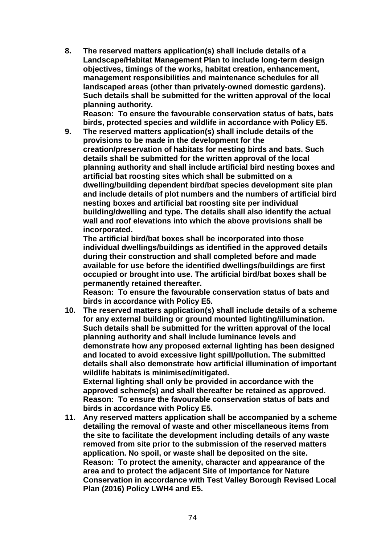**8. The reserved matters application(s) shall include details of a Landscape/Habitat Management Plan to include long-term design objectives, timings of the works, habitat creation, enhancement, management responsibilities and maintenance schedules for all landscaped areas (other than privately-owned domestic gardens). Such details shall be submitted for the written approval of the local planning authority.** 

**Reason: To ensure the favourable conservation status of bats, bats birds, protected species and wildlife in accordance with Policy E5.**

**9. The reserved matters application(s) shall include details of the provisions to be made in the development for the creation/preservation of habitats for nesting birds and bats. Such details shall be submitted for the written approval of the local planning authority and shall include artificial bird nesting boxes and artificial bat roosting sites which shall be submitted on a dwelling/building dependent bird/bat species development site plan and include details of plot numbers and the numbers of artificial bird nesting boxes and artificial bat roosting site per individual building/dwelling and type. The details shall also identify the actual wall and roof elevations into which the above provisions shall be incorporated.** 

**The artificial bird/bat boxes shall be incorporated into those individual dwellings/buildings as identified in the approved details during their construction and shall completed before and made available for use before the identified dwellings/buildings are first occupied or brought into use. The artificial bird/bat boxes shall be permanently retained thereafter.**

**Reason: To ensure the favourable conservation status of bats and birds in accordance with Policy E5.**

**10. The reserved matters application(s) shall include details of a scheme for any external building or ground mounted lighting/illumination. Such details shall be submitted for the written approval of the local planning authority and shall include luminance levels and demonstrate how any proposed external lighting has been designed and located to avoid excessive light spill/pollution. The submitted details shall also demonstrate how artificial illumination of important wildlife habitats is minimised/mitigated. External lighting shall only be provided in accordance with the** 

**approved scheme(s) and shall thereafter be retained as approved. Reason: To ensure the favourable conservation status of bats and birds in accordance with Policy E5.**

**11. Any reserved matters application shall be accompanied by a scheme detailing the removal of waste and other miscellaneous items from the site to facilitate the development including details of any waste removed from site prior to the submission of the reserved matters application. No spoil, or waste shall be deposited on the site. Reason: To protect the amenity, character and appearance of the area and to protect the adjacent Site of Importance for Nature Conservation in accordance with Test Valley Borough Revised Local Plan (2016) Policy LWH4 and E5.**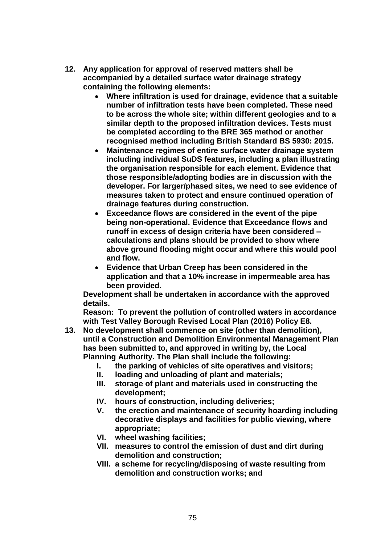- **12. Any application for approval of reserved matters shall be accompanied by a detailed surface water drainage strategy containing the following elements:**
	- **Where infiltration is used for drainage, evidence that a suitable number of infiltration tests have been completed. These need to be across the whole site; within different geologies and to a similar depth to the proposed infiltration devices. Tests must be completed according to the BRE 365 method or another recognised method including British Standard BS 5930: 2015.**
	- **Maintenance regimes of entire surface water drainage system including individual SuDS features, including a plan illustrating the organisation responsible for each element. Evidence that those responsible/adopting bodies are in discussion with the developer. For larger/phased sites, we need to see evidence of measures taken to protect and ensure continued operation of drainage features during construction.**
	- **Exceedance flows are considered in the event of the pipe being non-operational. Evidence that Exceedance flows and runoff in excess of design criteria have been considered – calculations and plans should be provided to show where above ground flooding might occur and where this would pool and flow.**
	- **Evidence that Urban Creep has been considered in the application and that a 10% increase in impermeable area has been provided.**

**Development shall be undertaken in accordance with the approved details.**

**Reason: To prevent the pollution of controlled waters in accordance with Test Valley Borough Revised Local Plan (2016) Policy E8.**

- **13. No development shall commence on site (other than demolition), until a Construction and Demolition Environmental Management Plan has been submitted to, and approved in writing by, the Local Planning Authority. The Plan shall include the following:**
	- **I. the parking of vehicles of site operatives and visitors;**
	- **II. loading and unloading of plant and materials;**
	- **III. storage of plant and materials used in constructing the development;**
	- **IV. hours of construction, including deliveries;**
	- **V. the erection and maintenance of security hoarding including decorative displays and facilities for public viewing, where appropriate;**
	- **VI. wheel washing facilities;**
	- **VII. measures to control the emission of dust and dirt during demolition and construction;**
	- **VIII. a scheme for recycling/disposing of waste resulting from demolition and construction works; and**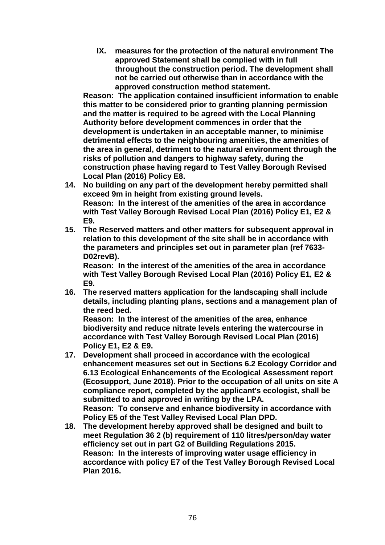**IX. measures for the protection of the natural environment The approved Statement shall be complied with in full throughout the construction period. The development shall not be carried out otherwise than in accordance with the approved construction method statement.**

**Reason: The application contained insufficient information to enable this matter to be considered prior to granting planning permission and the matter is required to be agreed with the Local Planning Authority before development commences in order that the development is undertaken in an acceptable manner, to minimise detrimental effects to the neighbouring amenities, the amenities of the area in general, detriment to the natural environment through the risks of pollution and dangers to highway safety, during the construction phase having regard to Test Valley Borough Revised Local Plan (2016) Policy E8.**

- **14. No building on any part of the development hereby permitted shall exceed 9m in height from existing ground levels. Reason: In the interest of the amenities of the area in accordance with Test Valley Borough Revised Local Plan (2016) Policy E1, E2 & E9.**
- **15. The Reserved matters and other matters for subsequent approval in relation to this development of the site shall be in accordance with the parameters and principles set out in parameter plan (ref 7633- D02revB).**

**Reason: In the interest of the amenities of the area in accordance with Test Valley Borough Revised Local Plan (2016) Policy E1, E2 & E9.**

**16. The reserved matters application for the landscaping shall include details, including planting plans, sections and a management plan of the reed bed.**

**Reason: In the interest of the amenities of the area, enhance biodiversity and reduce nitrate levels entering the watercourse in accordance with Test Valley Borough Revised Local Plan (2016) Policy E1, E2 & E9.**

- **17. Development shall proceed in accordance with the ecological enhancement measures set out in Sections 6.2 Ecology Corridor and 6.13 Ecological Enhancements of the Ecological Assessment report (Ecosupport, June 2018). Prior to the occupation of all units on site A compliance report, completed by the applicant's ecologist, shall be submitted to and approved in writing by the LPA. Reason: To conserve and enhance biodiversity in accordance with Policy E5 of the Test Valley Revised Local Plan DPD.**
- **18. The development hereby approved shall be designed and built to meet Regulation 36 2 (b) requirement of 110 litres/person/day water efficiency set out in part G2 of Building Regulations 2015. Reason: In the interests of improving water usage efficiency in accordance with policy E7 of the Test Valley Borough Revised Local Plan 2016.**